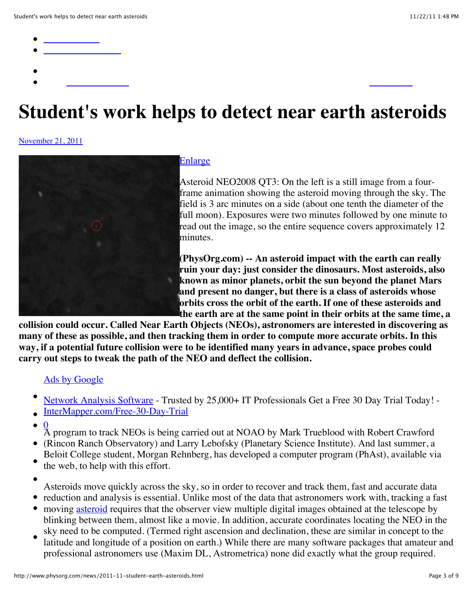- 
- 
- 
- 

## **Student's work helps to detect near earth asteroids**

## November 21, 2011



## Enlarge

Asteroid NEO2008 QT3: On the left is a still image from a fourframe animation showing the asteroid moving through the sky. The field is 3 arc minutes on a side (about one tenth the diameter of the full moon). Exposures were two minutes followed by one minute to read out the image, so the entire sequence covers approximately 12 minutes.

**(PhysOrg.com) -- An asteroid impact with the earth can really ruin your day: just consider the dinosaurs. Most asteroids, also known as minor planets, orbit the sun beyond the planet Mars and present no danger, but there is a class of asteroids whose orbits cross the orbit of the earth. If one of these asteroids and the earth are at the same point in their orbits at the same time, a**

**collision could occur. Called Near Earth Objects (NEOs), astronomers are interested in discovering as many of these as possible, and then tracking them in order to compute more accurate orbits. In this way, if a potential future collision were to be identified many years in advance, space probes could carry out steps to tweak the path of the NEO and deflect the collision.**

## Ads by Google

- Network Analysis Software Trusted by 25,000+ IT Professionals Get a Free 30 Day Trial Today! InterMapper.com/Free-30-Day-Trial
- 
- 0 $\bullet$ 
	- A program to track NEOs is being carried out at NOAO by Mark Trueblood with Robert Crawford
- (Rincon Ranch Observatory) and Larry Lebofsky (Planetary Science Institute). And last summer, a Beloit College student, Morgan Rehnberg, has developed a computer program (PhAst), available via the web, to help with this effort.
- - Asteroids move quickly across the sky, so in order to recover and track them, fast and accurate data
- reduction and analysis is essential. Unlike most of the data that astronomers work with, tracking a fast
- moving asteroid requires that the observer view multiple digital images obtained at the telescope by blinking between them, almost like a movie. In addition, accurate coordinates locating the NEO in the sky need to be computed. (Termed right ascension and declination, these are similar in concept to the
- latitude and longitude of a position on earth.) While there are many software packages that amateur and professional astronomers use (Maxim DL, Astrometrica) none did exactly what the group required.